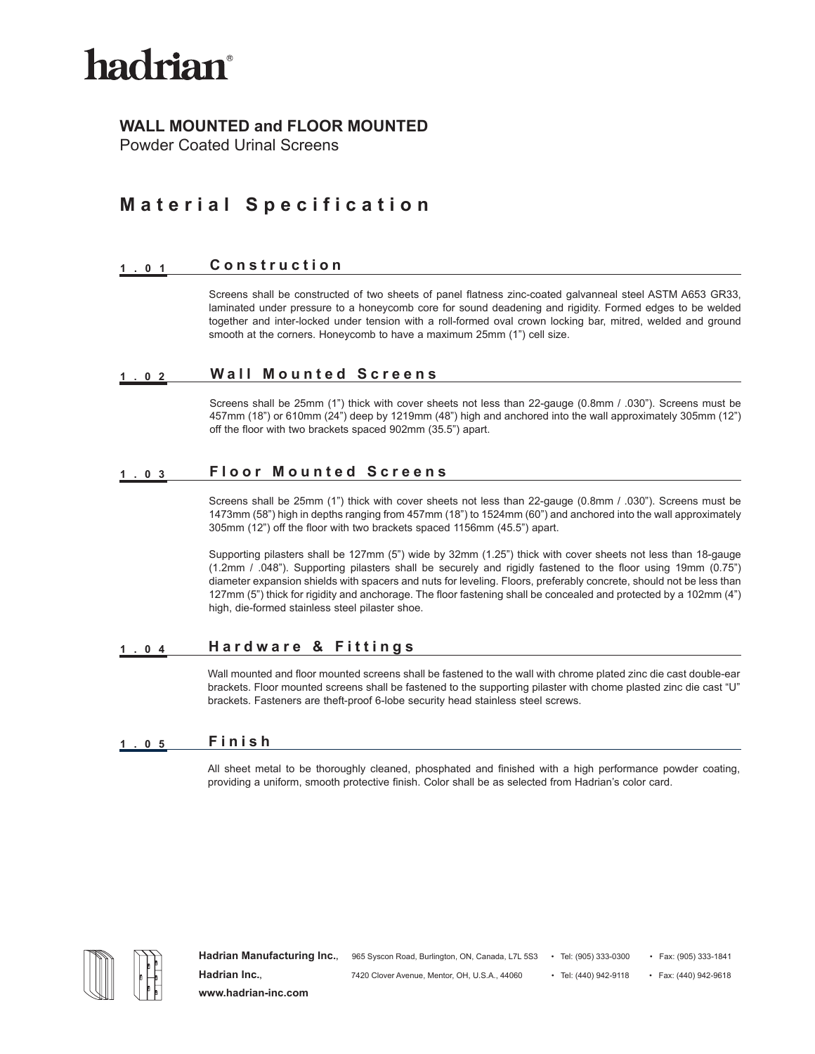

## **WALL MOUNTED and FLOOR MOUNTED**

Powder Coated Urinal Screens

# **Material Specification**

#### **1.01 Construction**

Screens shall be constructed of two sheets of panel flatness zinc-coated galvanneal steel ASTM A653 GR33, laminated under pressure to a honeycomb core for sound deadening and rigidity. Formed edges to be welded together and inter-locked under tension with a roll-formed oval crown locking bar, mitred, welded and ground smooth at the corners. Honeycomb to have a maximum 25mm (1") cell size.

### **1.02 Wall Mounted Screens**

Screens shall be 25mm (1") thick with cover sheets not less than 22-gauge (0.8mm / .030"). Screens must be 457mm (18") or 610mm (24") deep by 1219mm (48") high and anchored into the wall approximately 305mm (12") off the floor with two brackets spaced 902mm (35.5") apart.

### **1.03 Floor Mounted Screens**

Screens shall be 25mm (1") thick with cover sheets not less than 22-gauge (0.8mm / .030"). Screens must be 1473mm (58") high in depths ranging from 457mm (18") to 1524mm (60") and anchored into the wall approximately 305mm (12") off the floor with two brackets spaced 1156mm (45.5") apart.

Supporting pilasters shall be 127mm (5") wide by 32mm (1.25") thick with cover sheets not less than 18-gauge (1.2mm / .048"). Supporting pilasters shall be securely and rigidly fastened to the floor using 19mm (0.75") diameter expansion shields with spacers and nuts for leveling. Floors, preferably concrete, should not be less than 127mm (5") thick for rigidity and anchorage. The floor fastening shall be concealed and protected by a 102mm (4") high, die-formed stainless steel pilaster shoe.

### **1.04 Hardware & Fittings**

Wall mounted and floor mounted screens shall be fastened to the wall with chrome plated zinc die cast double-ear brackets. Floor mounted screens shall be fastened to the supporting pilaster with chome plasted zinc die cast "U" brackets. Fasteners are theft-proof 6-lobe security head stainless steel screws.

### **1.05 Finish**

All sheet metal to be thoroughly cleaned, phosphated and finished with a high performance powder coating, providing a uniform, smooth protective finish. Color shall be as selected from Hadrian's color card.